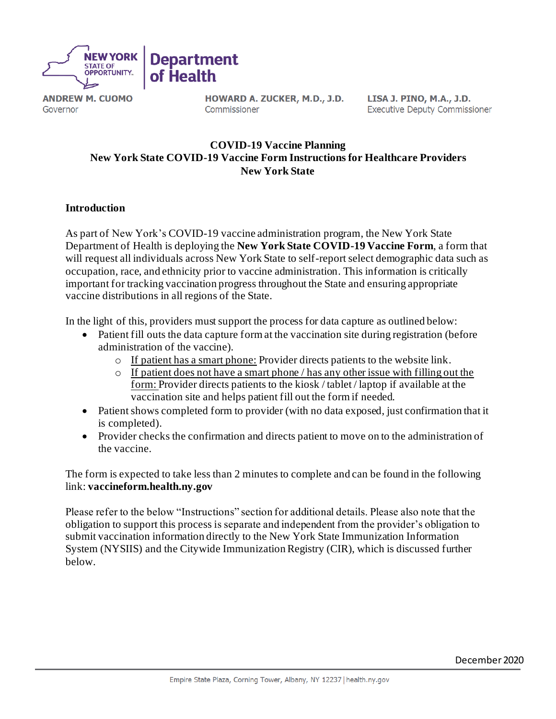

**ANDREW M. CUOMO** Governor

HOWARD A. ZUCKER, M.D., J.D. Commissioner

LISA J. PINO, M.A., J.D. **Executive Deputy Commissioner** 

## **COVID-19 Vaccine Planning New York State COVID-19 Vaccine Form Instructions for Healthcare Providers New York State**

## **Introduction**

As part of New York's COVID-19 vaccine administration program, the New York State Department of Health is deploying the **New York State COVID-19 Vaccine Form**, a form that will request all individuals across New York State to self-report select demographic data such as occupation, race, and ethnicity prior to vaccine administration. This information is critically important for tracking vaccination progress throughout the State and ensuring appropriate vaccine distributions in all regions of the State.

In the light of this, providers must support the process for data capture as outlined below:

- Patient fill outs the data capture form at the vaccination site during registration (before administration of the vaccine).
	- o If patient has a smart phone: Provider directs patients to the website link.
	- o If patient does not have a smart phone / has any other issue with filling out the form: Provider directs patients to the kiosk / tablet / laptop if available at the vaccination site and helps patient fill out the form if needed.
- Patient shows completed form to provider (with no data exposed, just confirmation that it is completed).
- Provider checks the confirmation and directs patient to move on to the administration of the vaccine.

The form is expected to take less than 2 minutes to complete and can be found in the following link: **vaccineform.health.ny.gov**

Please refer to the below "Instructions" section for additional details. Please also note that the obligation to support this process is separate and independent from the provider's obligation to submit vaccination information directly to the New York State Immunization Information System (NYSIIS) and the Citywide Immunization Registry (CIR), which is discussed further below.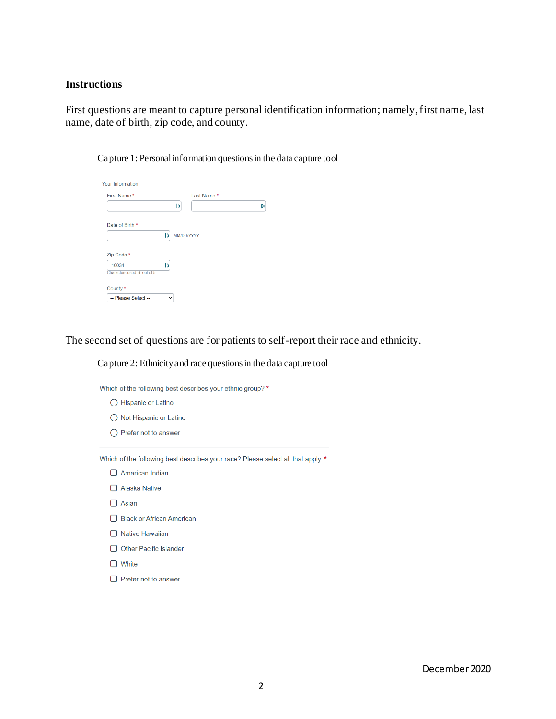## **Instructions**

First questions are meant to capture personal identification information; namely, first name, last name, date of birth, zip code, and county.

| M          |
|------------|
|            |
|            |
|            |
|            |
|            |
|            |
| MM/DD/YYYY |

Capture 1: Personal information questions in the data capture tool

The second set of questions are for patients to self-report their race and ethnicity.

## Capture 2: Ethnicity and race questions in the data capture tool

Which of the following best describes your ethnic group? \*

- ◯ Hispanic or Latino
- ◯ Not Hispanic or Latino
- $\bigcirc$  Prefer not to answer

Which of the following best describes your race? Please select all that apply. \*

- $\Box$  American Indian
- □ Alaska Native
- $\Box$  Asian
- □ Black or African American
- □ Native Hawaiian
- O Other Pacific Islander
- $\Box$  White
- $\Box$  Prefer not to answer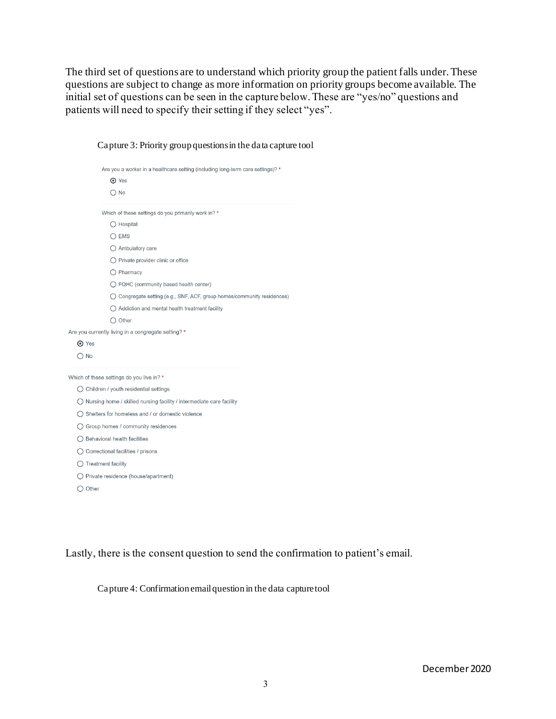The third set of questions are to understand which priority group the patient falls under. These questions are subject to change as more information on priority groups become available. The initial set of questions can be seen in the capture below. These are "yes/no" questions and patients will need to specify their setting if they select "yes".

|                  | Are you a worker in a healthcare setting (including long-term care settings)? * |  |
|------------------|---------------------------------------------------------------------------------|--|
|                  | O Yes                                                                           |  |
|                  | $\bigcirc$ No                                                                   |  |
|                  | Which of these settings do you primarily work in? *                             |  |
|                  | $\bigcirc$ Hospital                                                             |  |
|                  | $\bigcirc$ EMS                                                                  |  |
|                  | $\bigcirc$ Ambulatory care                                                      |  |
|                  | $\bigcirc$ Private provider clinic or office                                    |  |
|                  | $\bigcirc$ Pharmacy                                                             |  |
|                  | ◯ FQHC (community based health center)                                          |  |
|                  | ◯ Congregate setting (e.g., SNF, ACF, group homes/community residences)         |  |
|                  | $\bigcirc$ Addiction and mental health treatment facility                       |  |
|                  | $\bigcirc$ Other                                                                |  |
|                  | Are you currently living in a congregate setting? *                             |  |
| <b>⊙</b> Yes     |                                                                                 |  |
| $\bigcirc$ No    |                                                                                 |  |
|                  | Which of these settings do you live in? *                                       |  |
|                  | ◯ Children / youth residential settings                                         |  |
|                  | $\bigcirc$ Nursing home / skilled nursing facility / intermediate care facility |  |
|                  | $\bigcap$ Shelters for homeless and / or domestic violence                      |  |
|                  | ◯ Group homes / community residences                                            |  |
|                  | ◯ Behavioral health facilities                                                  |  |
|                  | $\bigcirc$ Correctional facilities / prisons                                    |  |
|                  | $\bigcirc$ Treatment facility                                                   |  |
|                  | ◯ Private residence (house/apartment)                                           |  |
| $\bigcirc$ Other |                                                                                 |  |
|                  |                                                                                 |  |
|                  |                                                                                 |  |

Capture 3: Priority group questions in the data capture tool

Lastly, there is the consent question to send the confirmation to patient's email.

Capture 4: Confirmation email question in the data capture tool